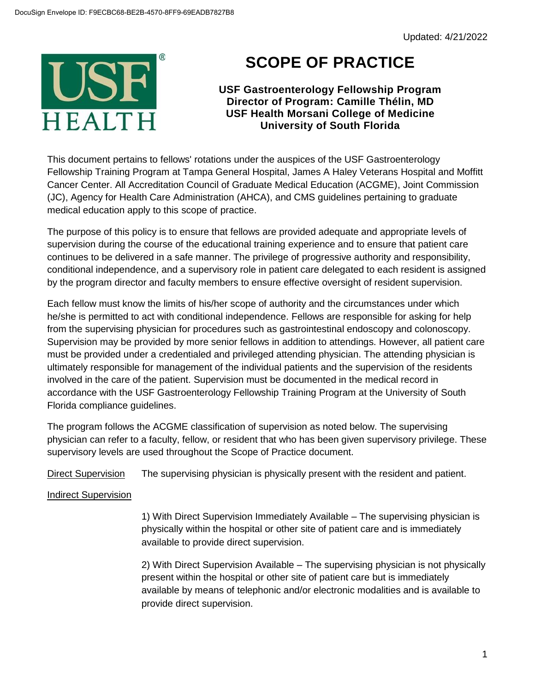

## **SCOPE OF PRACTICE**

**USF Gastroenterology Fellowship Program Director of Program: Camille Thélin, MD USF Health Morsani College of Medicine University of South Florida**

This document pertains to fellows' rotations under the auspices of the USF Gastroenterology Fellowship Training Program at Tampa General Hospital, James A Haley Veterans Hospital and Moffitt Cancer Center. All Accreditation Council of Graduate Medical Education (ACGME), Joint Commission (JC), Agency for Health Care Administration (AHCA), and CMS guidelines pertaining to graduate medical education apply to this scope of practice.

The purpose of this policy is to ensure that fellows are provided adequate and appropriate levels of supervision during the course of the educational training experience and to ensure that patient care continues to be delivered in a safe manner. The privilege of progressive authority and responsibility, conditional independence, and a supervisory role in patient care delegated to each resident is assigned by the program director and faculty members to ensure effective oversight of resident supervision.

Each fellow must know the limits of his/her scope of authority and the circumstances under which he/she is permitted to act with conditional independence. Fellows are responsible for asking for help from the supervising physician for procedures such as gastrointestinal endoscopy and colonoscopy. Supervision may be provided by more senior fellows in addition to attendings. However, all patient care must be provided under a credentialed and privileged attending physician. The attending physician is ultimately responsible for management of the individual patients and the supervision of the residents involved in the care of the patient. Supervision must be documented in the medical record in accordance with the USF Gastroenterology Fellowship Training Program at the University of South Florida compliance guidelines.

The program follows the ACGME classification of supervision as noted below. The supervising physician can refer to a faculty, fellow, or resident that who has been given supervisory privilege. These supervisory levels are used throughout the Scope of Practice document.

Direct Supervision The supervising physician is physically present with the resident and patient.

Indirect Supervision

1) With Direct Supervision Immediately Available – The supervising physician is physically within the hospital or other site of patient care and is immediately available to provide direct supervision.

2) With Direct Supervision Available – The supervising physician is not physically present within the hospital or other site of patient care but is immediately available by means of telephonic and/or electronic modalities and is available to provide direct supervision.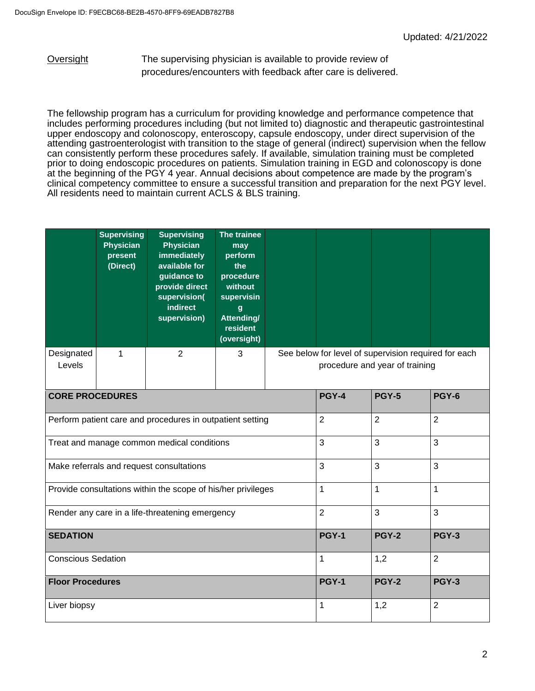Oversight The supervising physician is available to provide review of procedures/encounters with feedback after care is delivered.

The fellowship program has a curriculum for providing knowledge and performance competence that includes performing procedures including (but not limited to) diagnostic and therapeutic gastrointestinal upper endoscopy and colonoscopy, enteroscopy, capsule endoscopy, under direct supervision of the attending gastroenterologist with transition to the stage of general (indirect) supervision when the fellow can consistently perform these procedures safely. If available, simulation training must be completed prior to doing endoscopic procedures on patients. Simulation training in EGD and colonoscopy is done at the beginning of the PGY 4 year. Annual decisions about competence are made by the program's clinical competency committee to ensure a successful transition and preparation for the next PGY level. All residents need to maintain current ACLS & BLS training.

|                                                              | <b>Supervising</b><br><b>Physician</b><br>present<br>(Direct) | <b>Supervising</b><br><b>Physician</b><br>immediately<br>available for<br>guidance to<br>provide direct<br>supervision(<br>indirect<br>supervision) | The trainee<br>may<br>perform<br>the<br>procedure<br>without<br>supervisin<br>$\mathbf{g}$<br>Attending/<br>resident<br>(oversight) |                                                                                        |                |                |  |  |
|--------------------------------------------------------------|---------------------------------------------------------------|-----------------------------------------------------------------------------------------------------------------------------------------------------|-------------------------------------------------------------------------------------------------------------------------------------|----------------------------------------------------------------------------------------|----------------|----------------|--|--|
| Designated<br>Levels                                         | 1                                                             | $\overline{2}$                                                                                                                                      | 3                                                                                                                                   | See below for level of supervision required for each<br>procedure and year of training |                |                |  |  |
| <b>CORE PROCEDURES</b>                                       |                                                               |                                                                                                                                                     |                                                                                                                                     | <b>PGY-4</b>                                                                           | <b>PGY-5</b>   | PGY-6          |  |  |
| Perform patient care and procedures in outpatient setting    |                                                               |                                                                                                                                                     |                                                                                                                                     | $\overline{2}$                                                                         | $\overline{2}$ | $\overline{2}$ |  |  |
| Treat and manage common medical conditions                   |                                                               |                                                                                                                                                     |                                                                                                                                     | 3                                                                                      | 3              | 3              |  |  |
| Make referrals and request consultations                     |                                                               |                                                                                                                                                     |                                                                                                                                     | 3                                                                                      | 3              | 3              |  |  |
| Provide consultations within the scope of his/her privileges |                                                               |                                                                                                                                                     |                                                                                                                                     | $\mathbf{1}$                                                                           | $\mathbf{1}$   | 1              |  |  |
| Render any care in a life-threatening emergency              |                                                               |                                                                                                                                                     |                                                                                                                                     | $\overline{2}$                                                                         | $\overline{3}$ | 3              |  |  |
| <b>SEDATION</b>                                              |                                                               |                                                                                                                                                     |                                                                                                                                     | <b>PGY-1</b>                                                                           | <b>PGY-2</b>   | <b>PGY-3</b>   |  |  |
| <b>Conscious Sedation</b>                                    |                                                               |                                                                                                                                                     |                                                                                                                                     | $\mathbf{1}$                                                                           | 1,2            | $\overline{2}$ |  |  |
| <b>Floor Procedures</b>                                      |                                                               |                                                                                                                                                     |                                                                                                                                     | <b>PGY-1</b>                                                                           | <b>PGY-2</b>   | <b>PGY-3</b>   |  |  |
| Liver biopsy                                                 |                                                               |                                                                                                                                                     |                                                                                                                                     | 1                                                                                      | 1,2            | $\overline{2}$ |  |  |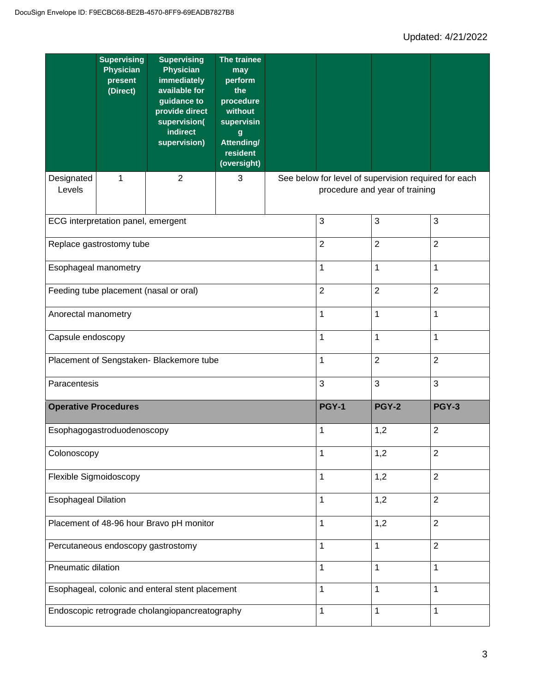|                                                 | <b>Supervising</b><br><b>Physician</b><br>present<br>(Direct) | <b>Supervising</b><br><b>Physician</b><br>immediately<br>available for<br>guidance to<br>provide direct<br>supervision(<br>indirect<br>supervision) | The trainee<br>may<br>perform<br>the<br>procedure<br>without<br>supervisin<br>$\boldsymbol{g}$<br>Attending/<br>resident<br>(oversight) |                                                                                        |                |                |                |
|-------------------------------------------------|---------------------------------------------------------------|-----------------------------------------------------------------------------------------------------------------------------------------------------|-----------------------------------------------------------------------------------------------------------------------------------------|----------------------------------------------------------------------------------------|----------------|----------------|----------------|
| Designated<br>Levels                            | 1                                                             | $\overline{2}$                                                                                                                                      | 3                                                                                                                                       | See below for level of supervision required for each<br>procedure and year of training |                |                |                |
| ECG interpretation panel, emergent              |                                                               |                                                                                                                                                     |                                                                                                                                         | 3                                                                                      | 3              | 3              |                |
| Replace gastrostomy tube                        |                                                               |                                                                                                                                                     |                                                                                                                                         | $\overline{2}$                                                                         | $\overline{2}$ | $\overline{2}$ |                |
| Esophageal manometry                            |                                                               |                                                                                                                                                     |                                                                                                                                         | 1                                                                                      | 1              | $\mathbf 1$    |                |
| Feeding tube placement (nasal or oral)          |                                                               |                                                                                                                                                     |                                                                                                                                         | $\overline{2}$                                                                         | $\overline{2}$ | $\overline{2}$ |                |
| Anorectal manometry                             |                                                               |                                                                                                                                                     |                                                                                                                                         | 1                                                                                      | 1              | 1              |                |
| Capsule endoscopy                               |                                                               |                                                                                                                                                     |                                                                                                                                         |                                                                                        | 1              | $\mathbf{1}$   | 1              |
| Placement of Sengstaken- Blackemore tube        |                                                               |                                                                                                                                                     |                                                                                                                                         | 1                                                                                      | $\overline{2}$ | $\overline{2}$ |                |
| Paracentesis                                    |                                                               |                                                                                                                                                     |                                                                                                                                         |                                                                                        | 3              | $\sqrt{3}$     | 3              |
| <b>Operative Procedures</b>                     |                                                               |                                                                                                                                                     |                                                                                                                                         |                                                                                        | <b>PGY-1</b>   | <b>PGY-2</b>   | <b>PGY-3</b>   |
| Esophagogastroduodenoscopy                      |                                                               |                                                                                                                                                     |                                                                                                                                         | 1                                                                                      | 1,2            | $\overline{2}$ |                |
| Colonoscopy                                     |                                                               |                                                                                                                                                     |                                                                                                                                         |                                                                                        | 1              | 1,2            | $\sqrt{2}$     |
| Flexible Sigmoidoscopy                          |                                                               |                                                                                                                                                     |                                                                                                                                         | 1                                                                                      | 1,2            | $\overline{2}$ |                |
| <b>Esophageal Dilation</b>                      |                                                               |                                                                                                                                                     |                                                                                                                                         |                                                                                        | 1              | 1,2            | $\overline{2}$ |
| Placement of 48-96 hour Bravo pH monitor        |                                                               |                                                                                                                                                     |                                                                                                                                         | 1                                                                                      | 1,2            | $\overline{2}$ |                |
| Percutaneous endoscopy gastrostomy              |                                                               |                                                                                                                                                     |                                                                                                                                         | 1                                                                                      | 1              | $\overline{2}$ |                |
| Pneumatic dilation                              |                                                               |                                                                                                                                                     |                                                                                                                                         |                                                                                        | 1              | 1              | $\mathbf 1$    |
| Esophageal, colonic and enteral stent placement |                                                               |                                                                                                                                                     |                                                                                                                                         |                                                                                        | 1              | 1              | $\mathbf{1}$   |
| Endoscopic retrograde cholangiopancreatography  |                                                               |                                                                                                                                                     |                                                                                                                                         | $\mathbf{1}$                                                                           | $\mathbf{1}$   | $\mathbf{1}$   |                |